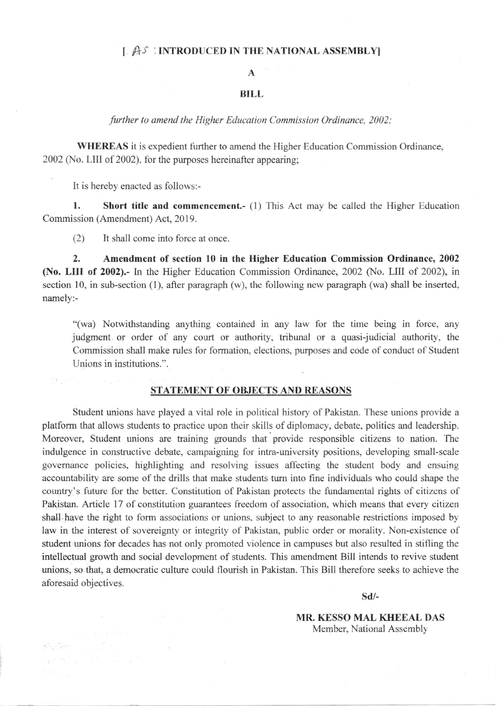# I. AS INTRODUCED IN THE NATIONAL ASSEMBLY

#### A

## **BILL**

further to amend the Higher Education Commission Ordinance, 2002;

WHEREAS it is expedient further to amend the Higher Education Commission Ordinance. 2002 (No. LIII of 2002), for the purposes hereinafter appearing:

It is hereby enacted as follows:-

 $\begin{array}{c} \mathbb{E}[\mathcal{A}]=\mathbb{E}[\mathcal{A}]=\mathbb{E}[\mathcal{A}]=\mathbb{E}[\mathcal{A}]=\mathbb{E}[\mathcal{A}]=\mathbb{E}[\mathcal{A}]=\mathbb{E}[\mathcal{A}]=\mathbb{E}[\mathcal{A}]=\mathbb{E}[\mathcal{A}]=\mathbb{E}[\mathcal{A}]=\mathbb{E}[\mathcal{A}]=\mathbb{E}[\mathcal{A}]=\mathbb{E}[\mathcal{A}]=\mathbb{E}[\mathcal{A}]=\mathbb{E}[\mathcal{A}]=\mathbb{E}[\mathcal{A}]=\mathbb{E$ 

ale di se

 $\frac{\left\vert \mathbf{y}_{i}\right\vert ^{2}}{\left\vert \mathbf{y}_{i}\right\vert ^{2}}=-\left\vert \mathbf{y}_{i}\right\vert ^{2}=-\left\vert \mathbf{y}_{i}\right\vert ^{2}$ 

1. Short title and commencement.- (1) This Act may be called the Higher Education Commission (Amendment) Act, 2019.

(2) It shall come into force at once.

2. Amendment of section l0 in the Higher Education Commission Ordinance, <sup>2002</sup> (No. LIII of 2002).- In the Higher Education Commission Ordinance, 2002 (No. LIII of 2002), in section 10, in sub-section (1), after paragraph (w), the following new paragraph (wa) shall be inserted, namely:-

"(wa) Notwithstanding anything contained in any law for the time being in force, any judgment or order of any court or authority, tribunal or a quasi-judicial authority, the Commission shall make rules for formation, elections, purposes and code of conduct of Student Unions in institutions.".

### STATEMENT OF OBJECTS AND REASONS

Student unions have played a vital role in political history of Pakistan. These unions provide a platform that allows students to practice upon their skills of diplomacy. debate, politics and leadership. Moreover, Student unions are training grounds that provide responsible citizens to nation. The indulgence in constructive debate, carnpaigning for intra-university positions, developing small-scale govemance policies, highlighting and resolving issues affecting the student body and ensuing accountability are some of the drills that make students turn into fine individuals who could shape the country's future for the better. Constitution of Pakistan protects the fundamental rights of citizens of Pakistan. Article 17 of constitution guarantees freedom of association, which means that every citizen shall have the right to form associations or unions. subject to any reasonable restrictions imposed by law in the interest of sovereignty or integrity of Pakistan, public order or morality. Non-existence of student unions for decades has not only promoted violence in campuses but also resulted in stifling the intellectual growth and social development of students. This amendment Rill intends to revive student unions, so that, a democratic culture could flourish in Pakistan. This Bill therefore seeks to achieve the aforesaid objectives.

sd/-

MR. KESSO MAL KHEEAL DAS Member, National Assembly